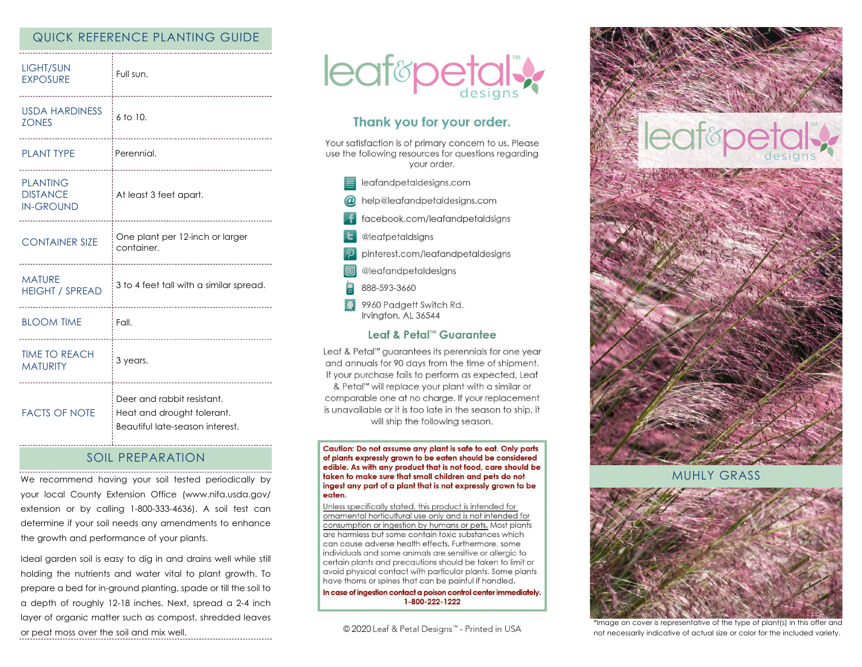# QUICK REFERENCE PLANTING GUIDE

| <b>LIGHT/SUN</b>                                                                    | Full sun.                                                                                   |
|-------------------------------------------------------------------------------------|---------------------------------------------------------------------------------------------|
| <b>EXPOSURE</b>                                                                     |                                                                                             |
| <b>USDA HARDINESS</b>                                                               | $6$ to $10$ .                                                                               |
| <b>ZONES</b>                                                                        |                                                                                             |
| <b>PLANT TYPE</b>                                                                   | Perennial.                                                                                  |
| -----------------                                                                   |                                                                                             |
| <b>PLANTING</b><br><b>DISTANCE</b><br><b>IN-GROUND</b><br>------------------------- | At least 3 feet apart.<br>--------------------------------                                  |
| <b>CONTAINER SIZE</b>                                                               | One plant per 12-inch or larger<br>container.                                               |
| <b>MATURE</b><br><b>HEIGHT / SPREAD</b>                                             | 3 to 4 feet tall with a similar spread.                                                     |
| <b>BLOOM TIME</b>                                                                   | Fall.                                                                                       |
| ----------------------------                                                        | --------------------------------                                                            |
| <b>TIME TO REACH</b>                                                                | 3 years.                                                                                    |
| <b>MATURITY</b>                                                                     |                                                                                             |
| <b>FACTS OF NOTE</b>                                                                | Deer and rabbit resistant.<br>Heat and drought tolerant.<br>Beautiful late-season interest. |

## SOIL PREPARATION

We recommend having your soil tested periodically by your local County Extension Office (www.nifa.usda.gov/ extension or by calling 1-800-333-4636). A soil test can determine if your soil needs any amendments to enhance the growth and performance of your plants.

Ideal garden soil is easy to dig in and drains well while still holding the nutrients and water vital to plant growth. To prepare a bed for in-ground planting, spade or till the soil to a depth of roughly 12-18 inches. Next, spread a 2-4 inch layer of organic matter such as compost, shredded leaves or peat moss over the soil and mix well.



# Thank you for your order.

Your satisfaction is of primary concern to us. Please use the following resources for questions regarding your order.

- eafandpetaldesigns.com
- @ help@leafandpetaldesigns.com
- facebook.com/leafandpetaldsigns
- **L** @leafpetaldsigns
- pinterest.com/leafandpetaldesigns
- @leafandpetaldesigns
- 888-593-3660
- 9960 Padgett Switch Rd. Irvington, AL 36544

#### Leaf & Petal™ Guarantee

Leaf & Petal™ guarantees its perennials for one year and annuals for 90 days from the time of shipment. If your purchase fails to perform as expected, Leaf & Petal<sup>™</sup> will replace your plant with a similar or comparable one at no charge. If your replacement is unavailable or it is too late in the season to ship, it will ship the following season.

Caution: Do not assume any plant is safe to eat. Only parts of plants expressly grown to be eaten should be considered edible. As with any product that is not food, care should be taken to make sure that small children and pets do not ingest any part of a plant that is not expressly grown to be eaten.

Unless specifically stated, this product is intended for ornamental horticultural use only and is not intended for consumption or ingestion by humans or pets. Most plants are harmless but some contain toxic substances which can cause adverse health effects. Furthermore, some individuals and some animals are sensitive or allergic to certain plants and precautions should be taken to limit or avoid physical contact with particular plants. Some plants have thorns or spines that can be painful if handled.

In case of ingestion contact a poison control center immediately. 1-800-222-1222

© 2020 Leaf & Petal Designs™ - Printed in USA



MUHLY GRASS



\*Image on cover is representative of the type of plant(s) in this offer and not necessarily indicative of actual size or color for the included variety.